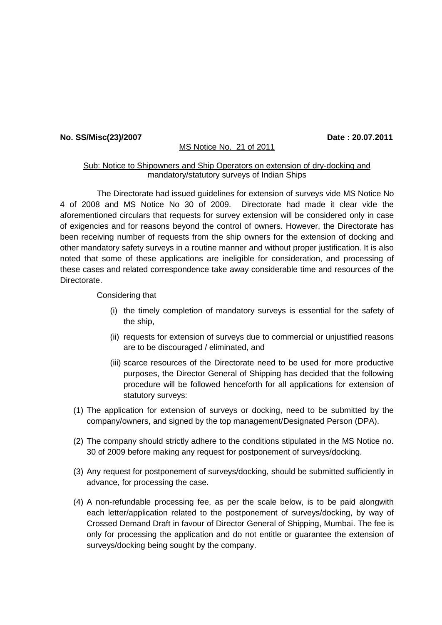## **No. SS/Misc(23)/2007 Date : 20.07.2011**

## MS Notice No. 21 of 2011

## Sub: Notice to Shipowners and Ship Operators on extension of dry-docking and mandatory/statutory surveys of Indian Ships

The Directorate had issued guidelines for extension of surveys vide MS Notice No 4 of 2008 and MS Notice No 30 of 2009. Directorate had made it clear vide the aforementioned circulars that requests for survey extension will be considered only in case of exigencies and for reasons beyond the control of owners. However, the Directorate has been receiving number of requests from the ship owners for the extension of docking and other mandatory safety surveys in a routine manner and without proper justification. It is also noted that some of these applications are ineligible for consideration, and processing of these cases and related correspondence take away considerable time and resources of the **Directorate** 

Considering that

- (i) the timely completion of mandatory surveys is essential for the safety of the ship,
- (ii) requests for extension of surveys due to commercial or unjustified reasons are to be discouraged / eliminated, and
- (iii) scarce resources of the Directorate need to be used for more productive purposes, the Director General of Shipping has decided that the following procedure will be followed henceforth for all applications for extension of statutory surveys:
- (1) The application for extension of surveys or docking, need to be submitted by the company/owners, and signed by the top management/Designated Person (DPA).
- (2) The company should strictly adhere to the conditions stipulated in the MS Notice no. 30 of 2009 before making any request for postponement of surveys/docking.
- (3) Any request for postponement of surveys/docking, should be submitted sufficiently in advance, for processing the case.
- (4) A non-refundable processing fee, as per the scale below, is to be paid alongwith each letter/application related to the postponement of surveys/docking, by way of Crossed Demand Draft in favour of Director General of Shipping, Mumbai. The fee is only for processing the application and do not entitle or guarantee the extension of surveys/docking being sought by the company.